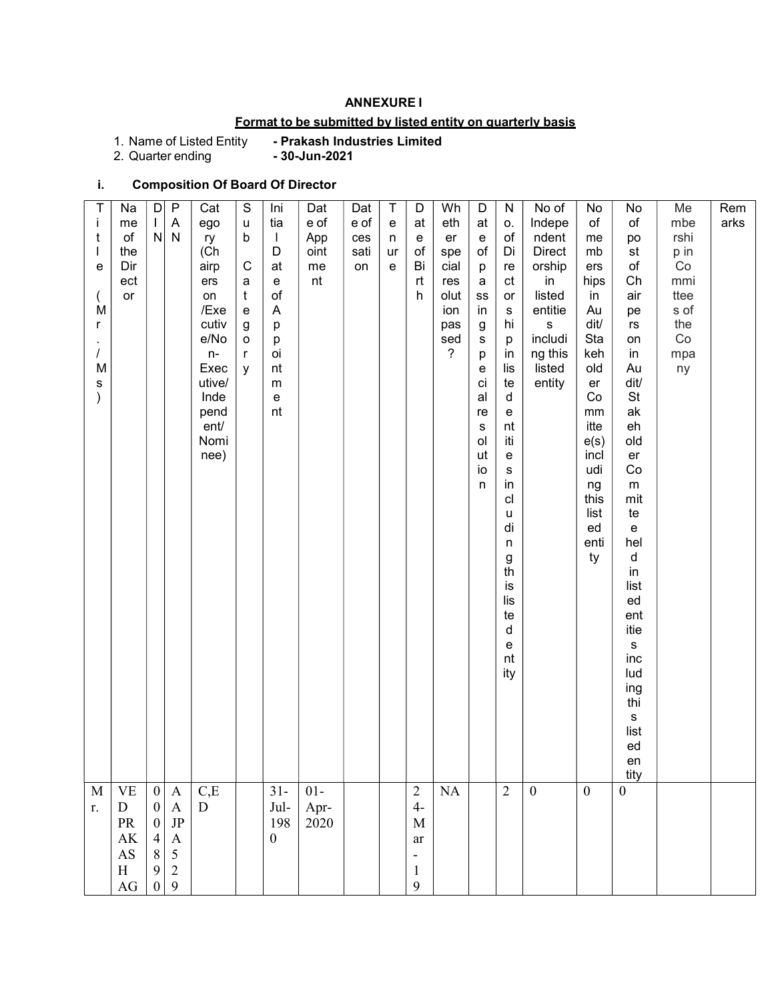### ANNEXURE I

## Format to be submitted by listed entity on quarterly basis

1. Name of Listed Entity<br>2. Quarter ending

- Prakash Industries Limited<br>- 30-Jun-2021

## i. Composition Of Board Of Director

| tity<br>$\boldsymbol{0}$<br>C,E<br>$31 -$<br>$\overline{2}$<br>$\boldsymbol{0}$<br>$\mathbf M$<br><b>VE</b><br>$01-$<br>$\overline{c}$<br>NA<br>$\boldsymbol{0}$<br>$\boldsymbol{\mathrm{A}}$<br>$\mathbf{0}$<br>$\begin{array}{c} 0 \\ 0 \end{array}$<br>$4-$<br>$\boldsymbol{\mathsf{A}}$<br>${\bf D}$<br>${\bf D}$<br>Jul-<br>Apr-<br>$2020$<br>r.<br>JP<br>${\rm PR}$<br>198<br>M<br>$\begin{array}{c} 4 \\ 8 \\ 9 \end{array}$<br>AK<br>$\boldsymbol{A}$<br>$\boldsymbol{0}$<br>ar<br>$\frac{5}{2}$<br>$\mathbf{A}\mathbf{S}$<br>$\overline{\phantom{a}}$<br>$\, {\rm H}$<br>$\mathbf{1}$ | $\mathbf{i}$<br>t<br>е<br>M<br>r<br>M<br>s | Na<br>me<br>of<br>the<br>Dir<br>ect<br>or | D<br>$\mathbf{L}$<br>${\sf N}$ | P<br>$\boldsymbol{\mathsf{A}}$<br>${\sf N}$ | Cat<br>ego<br>ry<br>(Ch<br>airp<br>ers<br>on<br>/Exe<br>cutiv<br>e/No<br>$n-$<br>Exec<br>utive/<br>Inde<br>pend<br>ent/<br>Nomi<br>nee) | $\mathsf S$<br>$\sf u$<br>b<br>$\mathbf C$<br>a<br>$\mathbf t$<br>e<br>g<br>o<br>r<br>y | Ini<br>tia<br>$\perp$<br>D<br>at<br>$\mathbf{e}% _{t}\left  \mathbf{1}\right\rangle$<br>$\circ f$<br>$\mathsf{A}$<br>p<br>р<br>oi<br>nt<br>m<br>e<br>nt | Dat<br>e of<br>App<br>oint<br>me<br>nt | Dat<br>e of<br>ces<br>sati<br>on | $\mathsf T$<br>${\bf e}$<br>n<br>ur<br>e | D<br>at<br>е<br>of<br>Bi<br>rt<br>h | Wh<br>eth<br>er<br>spe<br>cial<br>res<br>olut<br>ion<br>pas<br>sed<br>$\overline{\phantom{a}}$ | D<br>at<br>$\mathbf{e}% _{t}\left  \mathbf{1}\right\rangle$<br>of<br>p<br>a<br>$_{\rm SS}$<br>in<br>g<br>s<br>р<br>е<br>ci<br>al<br>re<br>s<br>ol<br>ut<br>io<br>n | N<br>0.<br>$\circ f$<br>Di<br>re<br>ct<br>or<br>s<br>hi<br>p<br>in<br>lis<br>te<br>d<br>${\bf e}$<br>nt<br>iti<br>${\bf e}$<br>$\mathbb S$<br>in<br>cl<br>u<br>di<br>n<br>$\frac{g}{\text{th}}$<br>is<br>lis<br>te<br>d<br>${\mathsf e}$<br>nt<br>ity | No of<br>Indepe<br>ndent<br><b>Direct</b><br>orship<br>in<br>listed<br>entitie<br>${\bf S}$<br>includi<br>ng this<br>listed<br>entity | No<br>of<br>me<br>mb<br>ers<br>hips<br>in<br>Au<br>dit/<br>Sta<br>keh<br>old<br>er<br>Co<br>$\mathsf{mm}$<br>itte<br>e(s)<br>incl<br>udi<br>ng<br>this<br>list<br>ed<br>enti<br>ty | No<br>of<br>po<br>st<br>$\mathsf{of}$<br>Ch<br>air<br>pe<br>$\mathsf{r}\mathsf{s}$<br>on<br>in<br>Au<br>dit/<br>St<br>ak<br>eh<br>old<br>er<br>Co<br>${\sf m}$<br>mit<br>te<br>e<br>hel<br>d<br>in<br>list<br>ed<br>ent<br>itie<br>${\sf s}$<br>inc<br>lud<br>ing<br>thi<br>${\sf s}$<br>list<br>ed<br>en | Me<br>mbe<br>rshi<br>p in<br>$\rm Co$<br>mmi<br>ttee<br>s of<br>the<br>Co<br>mpa<br>ny | Rem<br>arks |  |
|------------------------------------------------------------------------------------------------------------------------------------------------------------------------------------------------------------------------------------------------------------------------------------------------------------------------------------------------------------------------------------------------------------------------------------------------------------------------------------------------------------------------------------------------------------------------------------------------|--------------------------------------------|-------------------------------------------|--------------------------------|---------------------------------------------|-----------------------------------------------------------------------------------------------------------------------------------------|-----------------------------------------------------------------------------------------|---------------------------------------------------------------------------------------------------------------------------------------------------------|----------------------------------------|----------------------------------|------------------------------------------|-------------------------------------|------------------------------------------------------------------------------------------------|--------------------------------------------------------------------------------------------------------------------------------------------------------------------|-------------------------------------------------------------------------------------------------------------------------------------------------------------------------------------------------------------------------------------------------------|---------------------------------------------------------------------------------------------------------------------------------------|------------------------------------------------------------------------------------------------------------------------------------------------------------------------------------|-----------------------------------------------------------------------------------------------------------------------------------------------------------------------------------------------------------------------------------------------------------------------------------------------------------|----------------------------------------------------------------------------------------|-------------|--|
|                                                                                                                                                                                                                                                                                                                                                                                                                                                                                                                                                                                                |                                            |                                           |                                |                                             |                                                                                                                                         |                                                                                         |                                                                                                                                                         |                                        |                                  |                                          |                                     |                                                                                                |                                                                                                                                                                    |                                                                                                                                                                                                                                                       |                                                                                                                                       |                                                                                                                                                                                    |                                                                                                                                                                                                                                                                                                           |                                                                                        |             |  |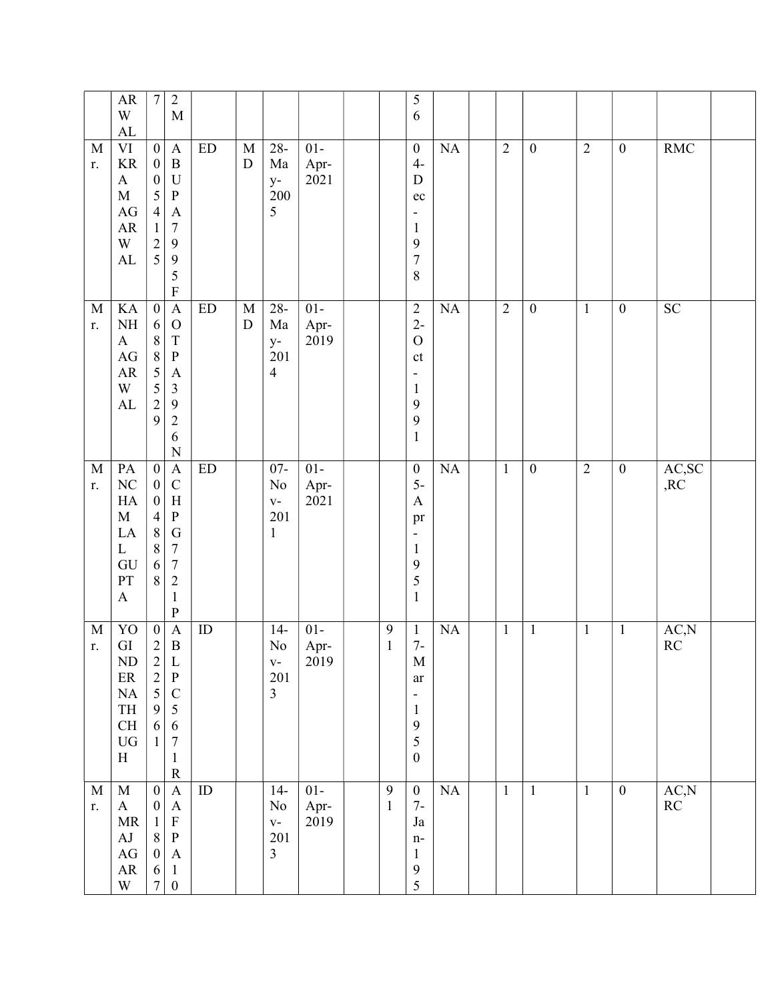|                   | ${\sf AR}$<br>W<br>${\rm AL}$                                                                                   | $\boldsymbol{7}$                                                                                                                  | $\sqrt{2}$<br>$\mathbf M$                                                                                                                                              |                            |                          |                                                       |                        |                                  | 5<br>6                                                                                                                                |           |                |                  |                |                  |                                 |  |
|-------------------|-----------------------------------------------------------------------------------------------------------------|-----------------------------------------------------------------------------------------------------------------------------------|------------------------------------------------------------------------------------------------------------------------------------------------------------------------|----------------------------|--------------------------|-------------------------------------------------------|------------------------|----------------------------------|---------------------------------------------------------------------------------------------------------------------------------------|-----------|----------------|------------------|----------------|------------------|---------------------------------|--|
| M<br>r.           | $\rm{VI}$<br>$\rm KR$<br>$\boldsymbol{\mathsf{A}}$<br>$\mathbf M$<br>$\rm{AG}$<br>${\sf AR}$<br>W<br>AL         | $\boldsymbol{0}$<br>$\boldsymbol{0}$<br>$\boldsymbol{0}$<br>5<br>$\overline{4}$<br>$\,1$<br>$\begin{array}{c} 2 \\ 5 \end{array}$ | $\mathbf{A}$<br>$\, {\bf B}$<br>$\mathbf U$<br>$\, {\bf P}$<br>$\boldsymbol{\rm{A}}$<br>$\sqrt{ }$<br>$\mathbf{9}$<br>$\overline{9}$<br>5<br>$\mathbf F$               | $\mathop{\rm ED}\nolimits$ | $\mathbf M$<br>${\rm D}$ | $28 -$<br>Ma<br>$y-$<br>200<br>5                      | $01-$<br>Apr-<br>2021  |                                  | $\boldsymbol{0}$<br>$4-$<br>${\bf D}$<br>$\rm ec$<br>-<br>$\mathbf{1}$<br>9<br>$\sqrt{ }$<br>$\,$ $\,$                                | NA        | $\overline{2}$ | $\boldsymbol{0}$ | $\overline{2}$ | $\boldsymbol{0}$ | <b>RMC</b>                      |  |
| $\mathbf M$<br>r. | KA<br>$\rm NH$<br>$\mathbf{A}$<br>$\mathbf{A}\mathbf{G}$<br>${\sf AR}$<br>W<br>${\rm AL}$                       | $\overline{0}$<br>6<br>$\,8\,$<br>8<br>5<br>$\frac{5}{2}$<br>9                                                                    | $\overline{A}$<br>$\mathcal{O}$<br>$\mathbf T$<br>$\, {\bf P}$<br>$\boldsymbol{\rm{A}}$<br>$\mathfrak{Z}$<br>$\overline{9}$<br>$\sqrt{2}$<br>6<br>$\overline{N}$       | ED                         | $\mathbf M$<br>${\rm D}$ | $28 -$<br>Ma<br>$y-$<br>201<br>$\overline{4}$         | $01 -$<br>Apr-<br>2019 |                                  | $\sqrt{2}$<br>$2-$<br>$\mathcal O$<br>$\mathsf{ct}$<br>$\qquad \qquad \blacksquare$<br>$\mathbf{1}$<br>9<br>9<br>$\mathbf{1}$         | NA        | $\overline{2}$ | $\boldsymbol{0}$ | $\overline{1}$ | $\boldsymbol{0}$ | SC                              |  |
| $\mathbf M$<br>r. | PA<br>$\rm NC$<br>HA<br>$\mathbf M$<br>LA<br>$\mathbf{L}$<br>GU<br>PT<br>$\boldsymbol{\mathsf{A}}$              | $\boldsymbol{0}$<br>$\boldsymbol{0}$<br>$\boldsymbol{0}$<br>$\overline{4}$<br>$\,8\,$<br>$\,$ $\,$<br>6<br>8                      | $\mathbf{A}$<br>$\mathsf{C}$<br>$\boldsymbol{\mathrm{H}}$<br>${\bf P}$<br>${\bf G}$<br>$\boldsymbol{7}$<br>$\boldsymbol{7}$<br>$\sqrt{2}$<br>$\mathbf{1}$<br>${\bf P}$ | $\mathop{\rm ED}\nolimits$ |                          | $07 -$<br>No<br>$\mathbf{V}$ –<br>201<br>$\mathbf{1}$ | $01 -$<br>Apr-<br>2021 |                                  | $\boldsymbol{0}$<br>$5-$<br>$\boldsymbol{\mathsf{A}}$<br>pr<br>$\qquad \qquad \blacksquare$<br>$\mathbf{1}$<br>9<br>5<br>$\mathbf{1}$ | <b>NA</b> | $\mathbf{1}$   | $\boldsymbol{0}$ | $\overline{2}$ | $\boldsymbol{0}$ | AC,SC<br>,RC                    |  |
| $\mathbf M$<br>r. | YO<br>${\rm GI}$<br>ND<br>$\rm ER$<br>$\rm NA$<br>TH<br>$\operatorname{CH}$<br>${\rm U}{\rm G}$<br>$\, {\rm H}$ | $\boldsymbol{0}$<br>$\sqrt{2}$<br>$\begin{array}{c} 2 \\ 2 \\ 5 \end{array}$<br>$\mathbf{9}$<br>6<br>$\mathbf{1}$                 | $\boldsymbol{\mathsf{A}}$<br>$\, {\bf B}$<br>L<br>$\, {\bf P}$<br>$\mathsf C$<br>$\sqrt{5}$<br>$\sqrt{6}$<br>$\boldsymbol{7}$<br>$\mathbf{1}$<br>${\bf R}$             | ID                         |                          | $14-$<br>$\rm No$<br>$V -$<br>201<br>$\overline{3}$   | $01 -$<br>Apr-<br>2019 | $\boldsymbol{9}$<br>$\,1\,$      | $\mathbf{1}$<br>$7-$<br>M<br>ar<br>$\qquad \qquad \blacksquare$<br>$\mathbf{1}$<br>$\boldsymbol{9}$<br>5<br>$\boldsymbol{0}$          | NA        | $\mathbf{1}$   | $\mathbf{1}$     | $\mathbf{1}$   | $\mathbf{1}$     | AC, N<br>RC                     |  |
| $\mathbf M$<br>r. | $\mathbf M$<br>$\bf{A}$<br>MR<br>$\mathbf{A}\mathbf{J}$<br>$\rm{AG}$<br>${\sf AR}$<br>W                         | $\boldsymbol{0}$<br>$\boldsymbol{0}$<br>$\mathbf{1}$<br>$\,8\,$<br>$\boldsymbol{0}$<br>6<br>$\boldsymbol{7}$                      | $\boldsymbol{\mathsf{A}}$<br>$\mathbf{A}$<br>$\mathbf F$<br>$\, {\bf P}$<br>$\mathbf{A}$<br>$\mathbf{1}$<br>$\boldsymbol{0}$                                           | $\rm ID$                   |                          | $14-$<br>No<br>$V -$<br>201<br>$\overline{3}$         | $01-$<br>Apr-<br>2019  | $\boldsymbol{9}$<br>$\mathbf{1}$ | $\boldsymbol{0}$<br>$7-$<br>Ja<br>$n-$<br>$\mathbf{1}$<br>$\boldsymbol{9}$<br>5                                                       | NA        | $\mathbf{1}$   | $\mathbf{1}$     | $\mathbf{1}$   | $\overline{0}$   | AC,N<br>$\mathbb{R}\mathcal{C}$ |  |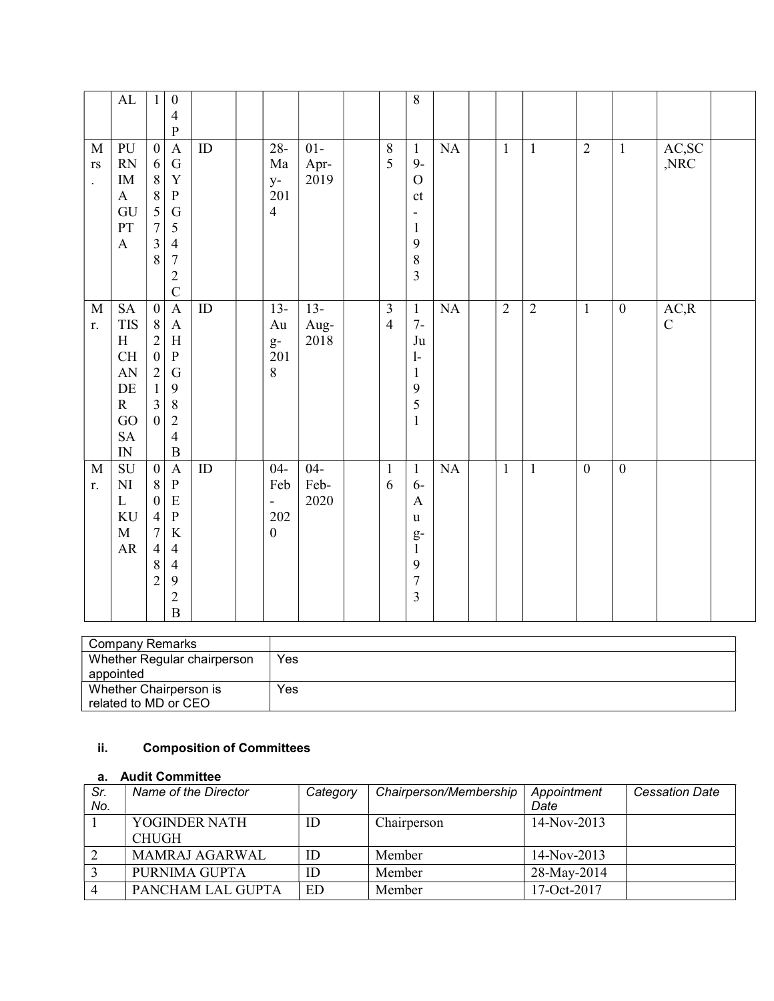|                                                               | $\mathbf{AL}$                                                                                                           | $\mathbf{1}$                                                                                                                                 | $\boldsymbol{0}$<br>$\overline{4}$<br>$\mathbf{P}$                                                                                                           |                 |                                                                          |                        |                                  | 8                                                                                                                    |    |                |                |                  |                  |                      |  |
|---------------------------------------------------------------|-------------------------------------------------------------------------------------------------------------------------|----------------------------------------------------------------------------------------------------------------------------------------------|--------------------------------------------------------------------------------------------------------------------------------------------------------------|-----------------|--------------------------------------------------------------------------|------------------------|----------------------------------|----------------------------------------------------------------------------------------------------------------------|----|----------------|----------------|------------------|------------------|----------------------|--|
| $\mathbf M$<br>$\mathbf{r}\mathbf{s}$<br>$\ddot{\phantom{0}}$ | PU<br>RN<br>$\rm IM$<br>$\mathbf{A}$<br>GU<br>PT<br>$\boldsymbol{\mathrm{A}}$                                           | $\boldsymbol{0}$<br>6<br>$\, 8$<br>$\overline{8}$<br>$\overline{5}$<br>$\overline{7}$<br>$\overline{\mathbf{3}}$<br>8                        | $\mathbf A$<br>${\bf G}$<br>$\mathbf Y$<br>${\bf P}$<br>${\bf G}$<br>$\mathfrak{S}$<br>$\overline{4}$<br>$\overline{7}$<br>$\overline{2}$<br>$\overline{C}$  | $\rm ID$        | $28 -$<br>Ma<br>$y-$<br>201<br>$\overline{4}$                            | $01-$<br>Apr-<br>2019  | $8\,$<br>5                       | $\mathbf{1}$<br>$9-$<br>$\overline{O}$<br>ct<br>$\overline{\phantom{0}}$<br>$\mathbf{1}$<br>9<br>8<br>$\overline{3}$ | NA | $\mathbf{1}$   | $\mathbf{1}$   | $\overline{2}$   | $\mathbf{1}$     | AC,SC<br>,NRC        |  |
| $\mathbf M$<br>r.                                             | $\operatorname{SA}$<br><b>TIS</b><br>H<br>CH<br>${\rm AN}$<br>$\rm DE$<br>$\mathbf R$<br>GO<br>${\rm SA}$<br>${\rm IN}$ | $\boldsymbol{0}$<br>$8\phantom{.}$<br>$\overline{2}$<br>$\boldsymbol{0}$<br>$\overline{2}$<br>$\mathbf{1}$<br>$\overline{3}$<br>$\mathbf{0}$ | $\mathbf A$<br>$\mathbf{A}$<br>$\, {\rm H}$<br>$\, {\bf P}$<br>${\bf G}$<br>9<br>$\,8\,$<br>$\overline{2}$<br>$\overline{4}$<br>$\, {\bf B}$                 | $\overline{ID}$ | $13-$<br>Au<br>$g-$<br>201<br>$8\,$                                      | $13-$<br>Aug-<br>2018  | $\overline{3}$<br>$\overline{4}$ | $\mathbf{1}$<br>$7-$<br>Ju<br>$\mathbf{1}$<br>$\mathbf{1}$<br>9<br>5<br>$\mathbf{1}$                                 | NA | $\overline{2}$ | $\overline{2}$ | $\mathbf{1}$     | $\boldsymbol{0}$ | AC, R<br>$\mathbf C$ |  |
| M<br>r.                                                       | SU<br>$\mathbf{N}\mathbf{I}$<br>$\mathbf L$<br>$\rm KU$<br>$\mathbf M$<br>${\sf AR}$                                    | $\boldsymbol{0}$<br>$\,8\,$<br>$\boldsymbol{0}$<br>$\overline{4}$<br>$\overline{7}$<br>$\overline{4}$<br>$\,$ 8 $\,$<br>$\overline{2}$       | $\mathbf{A}$<br>$\, {\bf P}$<br>${\bf E}$<br>$\overline{\mathbf{P}}$<br>$\rm K$<br>$\overline{4}$<br>$\overline{4}$<br>9<br>$\overline{2}$<br>$\overline{B}$ | ID              | $04 -$<br>Feb<br>$\overline{\phantom{a}}$<br>$202\,$<br>$\boldsymbol{0}$ | $04 -$<br>Feb-<br>2020 | $\mathbf{1}$<br>6                | $\mathbf{1}$<br>$6-$<br>$\mathbf{A}$<br>u<br>$g-$<br>$\mathbf{1}$<br>9<br>$\overline{7}$<br>$\overline{3}$           | NA | $\mathbf{1}$   | $\mathbf{1}$   | $\boldsymbol{0}$ | $\boldsymbol{0}$ |                      |  |

| Company Remarks             |     |
|-----------------------------|-----|
| Whether Regular chairperson | Yes |
| appointed                   |     |
| Whether Chairperson is      | Yes |
| related to MD or CEO        |     |

# ii. Composition of Committees

### a. Audit Committee

| Sr.<br>No. | Name of the Director          | Category | Chairperson/Membership | Appointment<br>Date | <b>Cessation Date</b> |
|------------|-------------------------------|----------|------------------------|---------------------|-----------------------|
|            | YOGINDER NATH<br><b>CHUGH</b> | ID       | Chairperson            | 14-Nov-2013         |                       |
|            | <b>MAMRAJ AGARWAL</b>         | ID       | Member                 | $14-Nov-2013$       |                       |
|            | PURNIMA GUPTA                 | ID       | Member                 | 28-May-2014         |                       |
|            | PANCHAM LAL GUPTA             | ED       | Member                 | $17-Oct-2017$       |                       |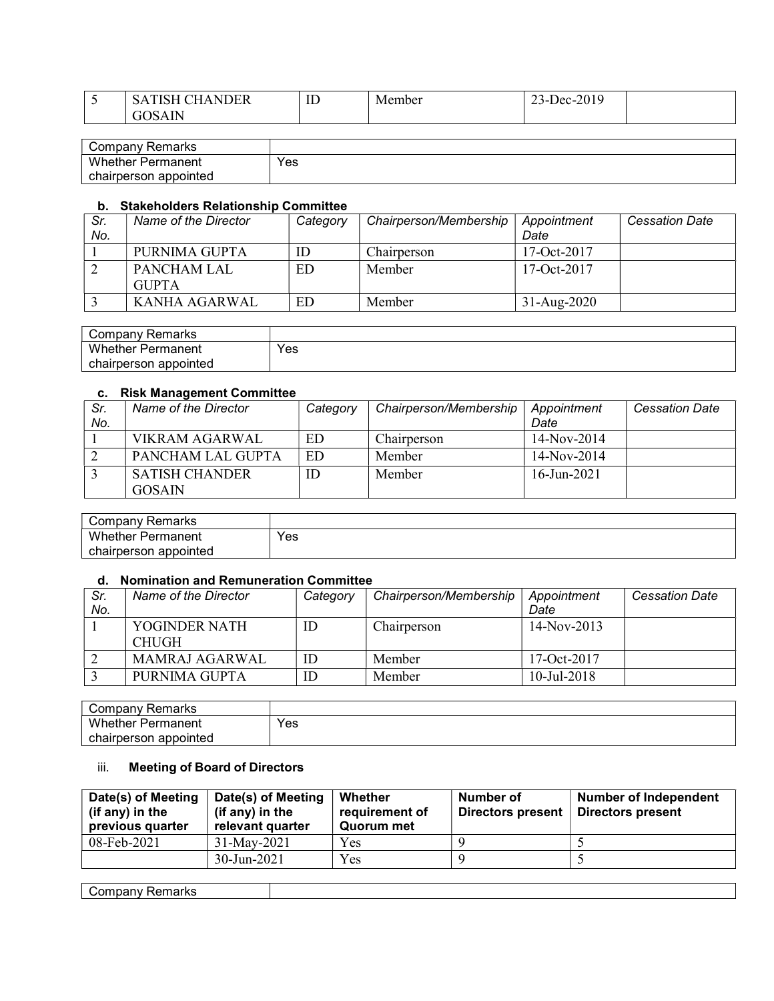| <b>~</b> | $\sim$ $\sim$ $\sim$ $\sim$<br><b>AIDEP</b><br>$\sim$<br><b>NDER</b><br>$\mathcal{P}$ | <b>TIME</b><br>ΙD | Member | 0.010<br>$P^c$<br>$2 - 201$<br>$-$ |  |
|----------|---------------------------------------------------------------------------------------|-------------------|--------|------------------------------------|--|
|          | 1 I N<br>τÙ                                                                           |                   |        |                                    |  |
|          |                                                                                       |                   |        |                                    |  |

| Company<br>Remarks       |     |
|--------------------------|-----|
| <b>Whether Permanent</b> | Yes |
| chairperson appointed    |     |

#### b. Stakeholders Relationship Committee

| Sr. | Name of the Director | Category | Chairperson/Membership | Appointment     | <b>Cessation Date</b> |
|-----|----------------------|----------|------------------------|-----------------|-----------------------|
| No. |                      |          |                        | Date            |                       |
|     | PURNIMA GUPTA        | ΙD       | Chairperson            | $17-Oct-2017$   |                       |
|     | PANCHAM LAL          | ED       | Member                 | 17-Oct- $2017$  |                       |
|     | <b>GUPTA</b>         |          |                        |                 |                       |
|     | KANHA AGARWAL        | ED       | Member                 | $31 - Aug-2020$ |                       |

| Remarks<br>∵ompanyٽ      |     |
|--------------------------|-----|
| <b>Whether Permanent</b> | Yes |
| chairperson appointed    |     |

#### c. Risk Management Committee

| Sr. | Name of the Director  | Category | Chairperson/Membership | Appointment    | <b>Cessation Date</b> |
|-----|-----------------------|----------|------------------------|----------------|-----------------------|
| No. |                       |          |                        | Date           |                       |
|     | VIKRAM AGARWAL        | ED       | Chairperson            | $14-Nov-2014$  |                       |
|     | PANCHAM LAL GUPTA     | ED       | Member                 | $14-Nov-2014$  |                       |
|     | <b>SATISH CHANDER</b> | ID       | Member                 | $16$ -Jun-2021 |                       |
|     | GOSAIN                |          |                        |                |                       |

| ' ompany:<br>Remarks  |     |
|-----------------------|-----|
| Whether<br>Permanent  | Yes |
| chairperson appointed |     |

#### d. Nomination and Remuneration Committee

| Sr. | Name of the Director          | Category | Chairperson/Membership | Appointment    | <b>Cessation Date</b> |
|-----|-------------------------------|----------|------------------------|----------------|-----------------------|
| No. |                               |          |                        | Date           |                       |
|     | YOGINDER NATH<br><b>CHUGH</b> | ID       | Chairperson            | $14-Nov-2013$  |                       |
|     | MAMRAJ AGARWAL                | ID       | Member                 | 17-Oct-2017    |                       |
|     | PURNIMA GUPTA                 | ID       | Member                 | $10$ -Jul-2018 |                       |

| ' ompanyد<br>Remarks   |     |
|------------------------|-----|
| Whether i<br>Permanent | Yes |
| chairperson appointed  |     |

## iii. Meeting of Board of Directors

| Date(s) of Meeting<br>(if any) in the<br>previous quarter | Date(s) of Meeting<br>(if any) in the<br>relevant quarter | Whether<br>requirement of<br><b>Quorum met</b> | Number of<br><b>Directors present</b> | <b>Number of Independent</b><br><b>Directors present</b> |
|-----------------------------------------------------------|-----------------------------------------------------------|------------------------------------------------|---------------------------------------|----------------------------------------------------------|
| 08-Feb-2021                                               | 31-May-2021                                               | Yes                                            |                                       |                                                          |
|                                                           | $30 - Jun - 2021$                                         | Yes                                            |                                       |                                                          |
|                                                           |                                                           |                                                |                                       |                                                          |
| Company Remarks                                           |                                                           |                                                |                                       |                                                          |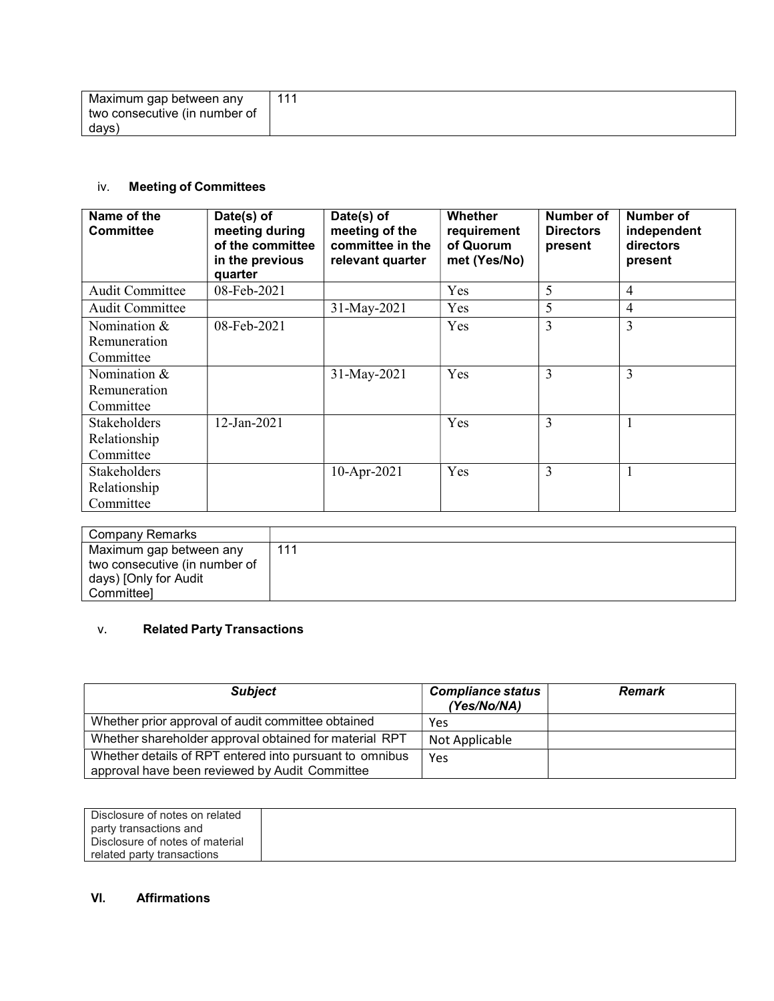| Maximum gap between any       | 111 |
|-------------------------------|-----|
| two consecutive (in number of |     |
| davs'                         |     |

# iv. Meeting of Committees

| Name of the<br><b>Committee</b> | Date(s) of<br>meeting during<br>of the committee<br>in the previous<br>quarter | Date(s) of<br>meeting of the<br>committee in the<br>relevant quarter | <b>Whether</b><br>requirement<br>of Quorum<br>met (Yes/No) | Number of<br><b>Directors</b><br>present | Number of<br>independent<br>directors<br>present |
|---------------------------------|--------------------------------------------------------------------------------|----------------------------------------------------------------------|------------------------------------------------------------|------------------------------------------|--------------------------------------------------|
| <b>Audit Committee</b>          | 08-Feb-2021                                                                    |                                                                      | Yes                                                        | 5                                        | $\overline{4}$                                   |
| <b>Audit Committee</b>          |                                                                                | 31-May-2021                                                          | Yes                                                        | 5                                        | 4                                                |
| Nomination &                    | $08$ -Feb-2021                                                                 |                                                                      | Yes                                                        | 3                                        | 3                                                |
| Remuneration                    |                                                                                |                                                                      |                                                            |                                          |                                                  |
| Committee                       |                                                                                |                                                                      |                                                            |                                          |                                                  |
| Nomination &                    |                                                                                | 31-May-2021                                                          | Yes                                                        | 3                                        | 3                                                |
| Remuneration                    |                                                                                |                                                                      |                                                            |                                          |                                                  |
| Committee                       |                                                                                |                                                                      |                                                            |                                          |                                                  |
| <b>Stakeholders</b>             | $12$ -Jan-2021                                                                 |                                                                      | Yes                                                        | 3                                        | $\mathbf{1}$                                     |
| Relationship                    |                                                                                |                                                                      |                                                            |                                          |                                                  |
| Committee                       |                                                                                |                                                                      |                                                            |                                          |                                                  |
| <b>Stakeholders</b>             |                                                                                | $10$ -Apr-2021                                                       | Yes                                                        | 3                                        |                                                  |
| Relationship                    |                                                                                |                                                                      |                                                            |                                          |                                                  |
| Committee                       |                                                                                |                                                                      |                                                            |                                          |                                                  |

| Company Remarks               |     |
|-------------------------------|-----|
| Maximum gap between any       | 111 |
| two consecutive (in number of |     |
| days) [Only for Audit         |     |
| Committeel                    |     |

# v. Related Party Transactions

| <b>Subject</b>                                                                                            | <b>Compliance status</b><br>(Yes/No/NA) | <b>Remark</b> |
|-----------------------------------------------------------------------------------------------------------|-----------------------------------------|---------------|
| Whether prior approval of audit committee obtained                                                        | Yes                                     |               |
| Whether shareholder approval obtained for material RPT                                                    | Not Applicable                          |               |
| Whether details of RPT entered into pursuant to omnibus<br>approval have been reviewed by Audit Committee | Yes                                     |               |

| Disclosure of notes on related  |  |
|---------------------------------|--|
| party transactions and          |  |
| Disclosure of notes of material |  |
| related party transactions      |  |

### VI. Affirmations